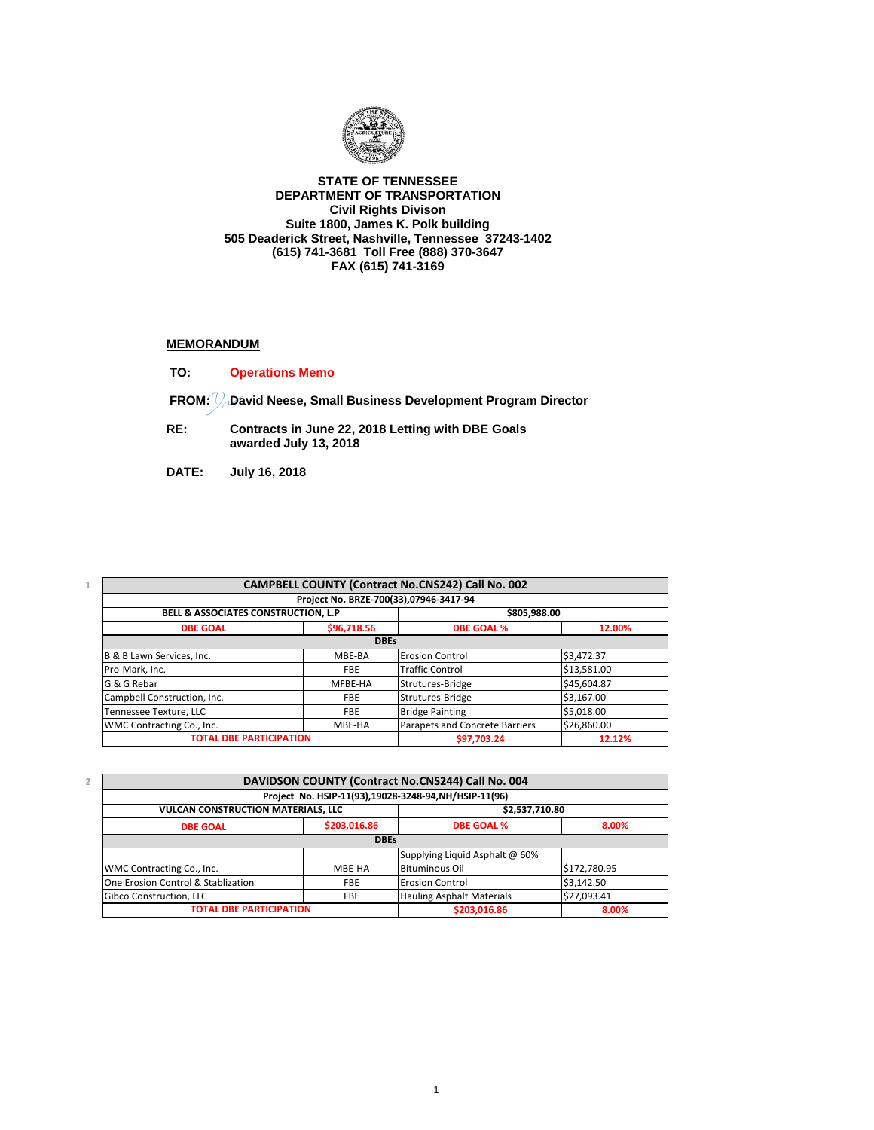

## **STATE OF TENNESSEE DEPARTMENT OF TRANSPORTATION Civil Rights Divison Suite 1800, James K. Polk building 505 Deaderick Street, Nashville, Tennessee 37243-1402 (615) 741-3681 Toll Free (888) 370-3647 FAX (615) 741-3169**

## **MEMORANDUM**

**TO: Operations Memo**

**FROM: David Neese, Small Business Development Program Director**

- **RE: Contracts in June 22, 2018 Letting with DBE Goals awarded July 13, 2018**
- **DATE: July 16, 2018**

|                                                     | CAMPBELL COUNTY (Contract No.CNS242) Call No. 002 |                                |             |  |  |
|-----------------------------------------------------|---------------------------------------------------|--------------------------------|-------------|--|--|
| Project No. BRZE-700(33),07946-3417-94              |                                                   |                                |             |  |  |
| \$805,988.00<br>BELL & ASSOCIATES CONSTRUCTION, L.P |                                                   |                                |             |  |  |
| <b>DBE GOAL</b>                                     | \$96,718.56                                       | <b>DBE GOAL %</b>              | 12.00%      |  |  |
| <b>DBEs</b>                                         |                                                   |                                |             |  |  |
| B & B Lawn Services, Inc.                           | MBE-BA                                            | <b>Erosion Control</b>         | \$3,472.37  |  |  |
| Pro-Mark, Inc.                                      | <b>FBE</b>                                        | <b>Traffic Control</b>         | \$13,581.00 |  |  |
| G & G Rebar                                         | MFBE-HA                                           | Strutures-Bridge               | \$45,604.87 |  |  |
| Campbell Construction, Inc.                         | <b>FBE</b>                                        | Strutures-Bridge               | \$3,167.00  |  |  |
| Tennessee Texture, LLC                              | <b>FBE</b>                                        | <b>Bridge Painting</b>         | \$5,018.00  |  |  |
| WMC Contracting Co., Inc.                           | MBE-HA                                            | Parapets and Concrete Barriers | \$26,860.00 |  |  |
| <b>TOTAL DBE PARTICIPATION</b>                      |                                                   | \$97,703.24                    | 12.12%      |  |  |

**2**

| DAVIDSON COUNTY (Contract No.CNS244) Call No. 004           |              |                                                      |              |  |  |
|-------------------------------------------------------------|--------------|------------------------------------------------------|--------------|--|--|
|                                                             |              | Project No. HSIP-11(93),19028-3248-94,NH/HSIP-11(96) |              |  |  |
| <b>VULCAN CONSTRUCTION MATERIALS, LLC</b><br>\$2,537,710.80 |              |                                                      |              |  |  |
| <b>DBE GOAL</b>                                             | \$203,016.86 | <b>DBE GOAL %</b>                                    | 8.00%        |  |  |
|                                                             | <b>DBEs</b>  |                                                      |              |  |  |
|                                                             |              | Supplying Liquid Asphalt @ 60%                       |              |  |  |
| WMC Contracting Co., Inc.                                   | MBE-HA       | <b>Bituminous Oil</b>                                | \$172,780.95 |  |  |
| One Erosion Control & Stablization<br><b>FBE</b>            |              | <b>Erosion Control</b>                               | \$3,142.50   |  |  |
| Gibco Construction, LLC                                     | <b>FBE</b>   | <b>Hauling Asphalt Materials</b>                     | \$27,093.41  |  |  |
| <b>TOTAL DBE PARTICIPATION</b>                              |              | \$203.016.86                                         | 8.00%        |  |  |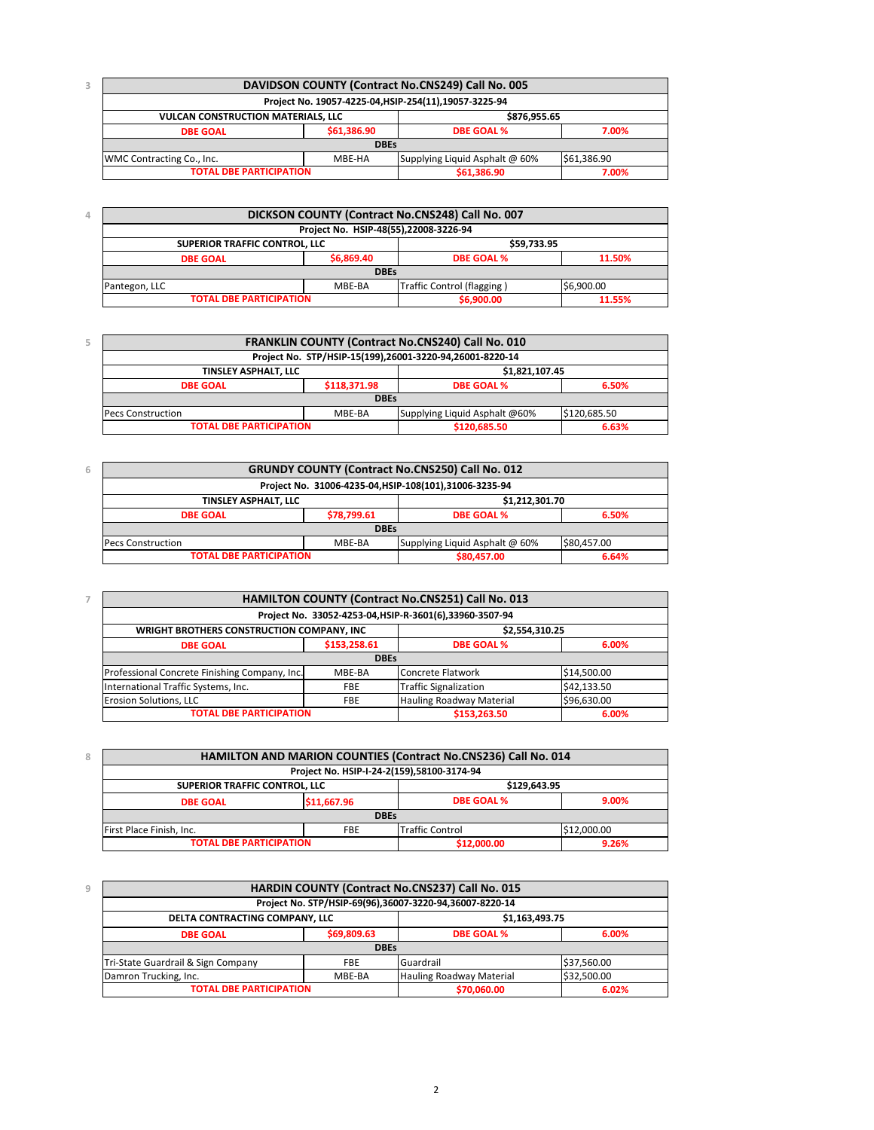| DAVIDSON COUNTY (Contract No.CNS249) Call No. 005                                    |             |                   |       |  |  |
|--------------------------------------------------------------------------------------|-------------|-------------------|-------|--|--|
| Project No. 19057-4225-04, HSIP-254(11), 19057-3225-94                               |             |                   |       |  |  |
| \$876,955.65<br><b>VULCAN CONSTRUCTION MATERIALS, LLC</b>                            |             |                   |       |  |  |
| <b>DBE GOAL</b>                                                                      | \$61,386.90 | <b>DBE GOAL %</b> | 7.00% |  |  |
|                                                                                      |             | <b>DBEs</b>       |       |  |  |
| \$61.386.90<br>Supplying Liquid Asphalt @ 60%<br>MBE-HA<br>WMC Contracting Co., Inc. |             |                   |       |  |  |
| <b>TOTAL DBE PARTICIPATION</b>                                                       |             | \$61,386.90       | 7.00% |  |  |

| DICKSON COUNTY (Contract No.CNS248) Call No. 007                                   |            |                   |        |  |                                |
|------------------------------------------------------------------------------------|------------|-------------------|--------|--|--------------------------------|
| Project No. HSIP-48(55),22008-3226-94                                              |            |                   |        |  |                                |
| \$59,733.95<br>SUPERIOR TRAFFIC CONTROL, LLC                                       |            |                   |        |  |                                |
| <b>DBE GOAL</b>                                                                    | \$6,869.40 | <b>DBE GOAL %</b> | 11.50% |  |                                |
| <b>DBEs</b><br>Traffic Control (flagging)<br>\$6,900.00<br>Pantegon, LLC<br>MBE-BA |            |                   |        |  |                                |
|                                                                                    |            |                   |        |  | <b>TOTAL DBE PARTICIPATION</b> |

| FRANKLIN COUNTY (Contract No.CNS240) Call No. 010                                   |              |                   |       |  |  |
|-------------------------------------------------------------------------------------|--------------|-------------------|-------|--|--|
| Project No. STP/HSIP-15(199),26001-3220-94,26001-8220-14                            |              |                   |       |  |  |
| \$1,821,107.45<br>TINSLEY ASPHALT. LLC                                              |              |                   |       |  |  |
| <b>DBE GOAL</b>                                                                     | \$118,371.98 | <b>DBE GOAL %</b> | 6.50% |  |  |
| <b>DBEs</b>                                                                         |              |                   |       |  |  |
| \$120,685.50<br>Supplying Liquid Asphalt @60%<br><b>Pecs Construction</b><br>MBE-BA |              |                   |       |  |  |
| <b>TOTAL DBE PARTICIPATION</b>                                                      |              | \$120,685.50      | 6.63% |  |  |

| 6 | <b>GRUNDY COUNTY (Contract No.CNS250) Call No. 012</b>                              |             |                   |       |  |  |
|---|-------------------------------------------------------------------------------------|-------------|-------------------|-------|--|--|
|   | Project No. 31006-4235-04, HSIP-108(101), 31006-3235-94                             |             |                   |       |  |  |
|   | \$1,212,301.70<br>TINSLEY ASPHALT, LLC                                              |             |                   |       |  |  |
|   | <b>DBE GOAL</b>                                                                     | \$78,799.61 | <b>DBE GOAL %</b> | 6.50% |  |  |
|   |                                                                                     | <b>DBEs</b> |                   |       |  |  |
|   | \$80,457.00<br>Supplying Liquid Asphalt @ 60%<br><b>Pecs Construction</b><br>MBE-BA |             |                   |       |  |  |
|   | <b>TOTAL DBE PARTICIPATION</b><br>\$80,457.00<br>6.64%                              |             |                   |       |  |  |

| HAMILTON COUNTY (Contract No.CNS251) Call No. 013            |              |                                 |             |  |  |  |
|--------------------------------------------------------------|--------------|---------------------------------|-------------|--|--|--|
| Project No. 33052-4253-04, HSIP-R-3601(6), 33960-3507-94     |              |                                 |             |  |  |  |
| \$2,554,310.25<br>WRIGHT BROTHERS CONSTRUCTION COMPANY, INC. |              |                                 |             |  |  |  |
| <b>DBE GOAL</b>                                              | \$153,258.61 | <b>DBE GOAL %</b>               | 6.00%       |  |  |  |
| <b>DBEs</b>                                                  |              |                                 |             |  |  |  |
| Professional Concrete Finishing Company, Inc.                | MBE-BA       | Concrete Flatwork               | \$14,500.00 |  |  |  |
| International Traffic Systems, Inc.                          | <b>FBE</b>   | <b>Traffic Signalization</b>    | \$42,133.50 |  |  |  |
| Erosion Solutions, LLC                                       | <b>FBE</b>   | <b>Hauling Roadway Material</b> | \$96,630.00 |  |  |  |
| <b>TOTAL DBE PARTICIPATION</b>                               |              | \$153,263.50                    | 6.00%       |  |  |  |

| <b>HAMILTON AND MARION COUNTIES (Contract No.CNS236) Call No. 014</b>           |             |                   |              |  |  |  |
|---------------------------------------------------------------------------------|-------------|-------------------|--------------|--|--|--|
| Project No. HSIP-I-24-2(159),58100-3174-94                                      |             |                   |              |  |  |  |
| <b>SUPERIOR TRAFFIC CONTROL. LLC</b>                                            |             |                   | \$129.643.95 |  |  |  |
| <b>DBE GOAL</b>                                                                 | \$11,667.96 | <b>DBE GOAL %</b> | 9.00%        |  |  |  |
| <b>DBEs</b>                                                                     |             |                   |              |  |  |  |
| <b>Traffic Control</b><br>First Place Finish, Inc.<br>\$12,000.00<br><b>FBE</b> |             |                   |              |  |  |  |
| <b>TOTAL DBE PARTICIPATION</b>                                                  |             | \$12,000.00       | 9.26%        |  |  |  |

| 9 | HARDIN COUNTY (Contract No.CNS237) Call No. 015         |             |                          |             |  |  |  |
|---|---------------------------------------------------------|-------------|--------------------------|-------------|--|--|--|
|   | Project No. STP/HSIP-69(96),36007-3220-94,36007-8220-14 |             |                          |             |  |  |  |
|   | \$1,163,493.75<br>DELTA CONTRACTING COMPANY, LLC        |             |                          |             |  |  |  |
|   | <b>DBE GOAL</b>                                         | \$69,809.63 | <b>DBE GOAL %</b>        | 6.00%       |  |  |  |
|   |                                                         | <b>DBEs</b> |                          |             |  |  |  |
|   | Tri-State Guardrail & Sign Company                      | Guardrail   | \$37,560.00              |             |  |  |  |
|   | Damron Trucking, Inc.                                   | MBE-BA      | Hauling Roadway Material | \$32,500.00 |  |  |  |
|   | <b>TOTAL DBE PARTICIPATION</b>                          |             | \$70,060.00              | 6.02%       |  |  |  |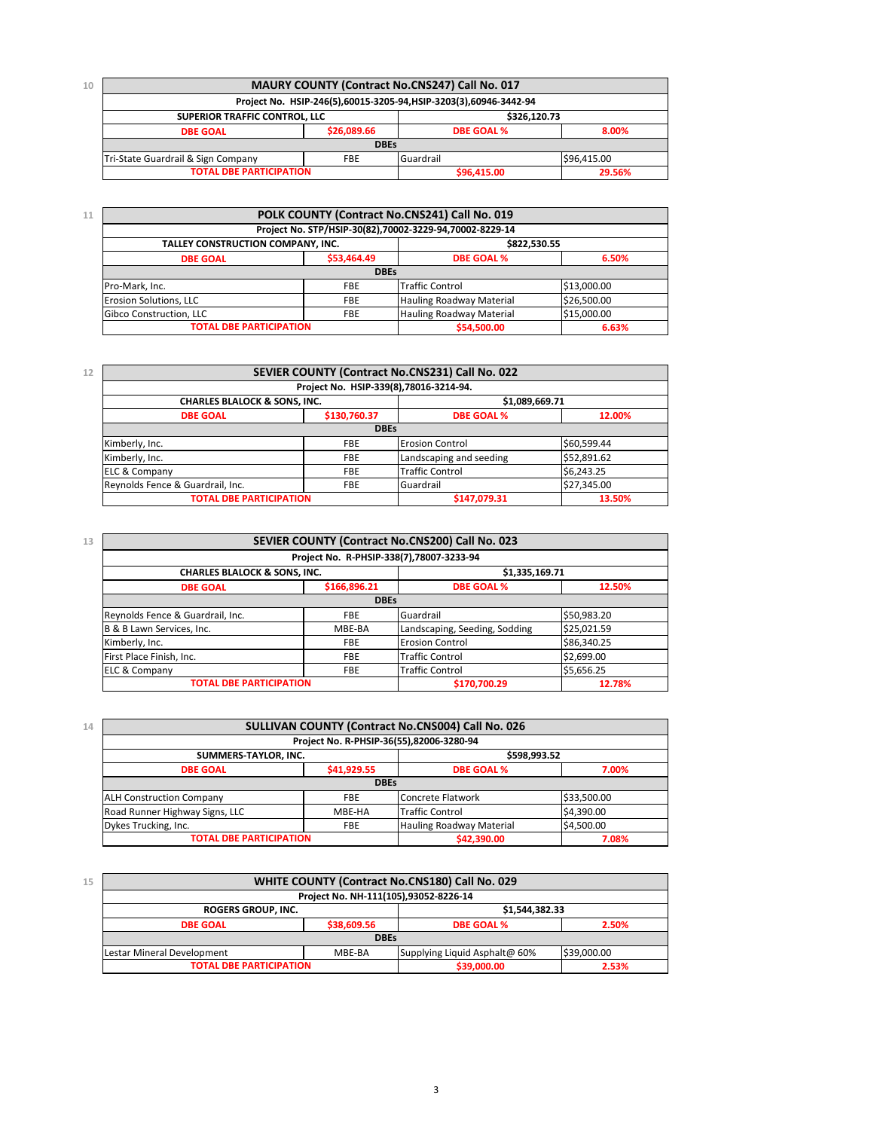| 10 | MAURY COUNTY (Contract No.CNS247) Call No. 017                               |             |                   |        |  |  |
|----|------------------------------------------------------------------------------|-------------|-------------------|--------|--|--|
|    | Project No. HSIP-246(5),60015-3205-94, HSIP-3203(3),60946-3442-94            |             |                   |        |  |  |
|    | \$326.120.73<br>SUPERIOR TRAFFIC CONTROL, LLC                                |             |                   |        |  |  |
|    | <b>DBE GOAL</b>                                                              | \$26,089.66 | <b>DBE GOAL %</b> | 8.00%  |  |  |
|    |                                                                              | <b>DBEs</b> |                   |        |  |  |
|    | Guardrail<br>\$96.415.00<br>Tri-State Guardrail & Sign Company<br><b>FBE</b> |             |                   |        |  |  |
|    | <b>TOTAL DBE PARTICIPATION</b>                                               |             | \$96,415.00       | 29.56% |  |  |

| 11                                                                    | POLK COUNTY (Contract No.CNS241) Call No. 019           |             |                                 |             |  |  |
|-----------------------------------------------------------------------|---------------------------------------------------------|-------------|---------------------------------|-------------|--|--|
|                                                                       | Project No. STP/HSIP-30(82),70002-3229-94,70002-8229-14 |             |                                 |             |  |  |
|                                                                       | TALLEY CONSTRUCTION COMPANY, INC.<br>\$822,530.55       |             |                                 |             |  |  |
|                                                                       | <b>DBE GOAL</b>                                         | \$53,464.49 | <b>DBE GOAL %</b>               | 6.50%       |  |  |
|                                                                       | <b>DBEs</b>                                             |             |                                 |             |  |  |
| <b>Traffic Control</b><br>\$13,000.00<br>Pro-Mark, Inc.<br><b>FBE</b> |                                                         |             |                                 |             |  |  |
|                                                                       | Erosion Solutions, LLC                                  | <b>FBE</b>  | <b>Hauling Roadway Material</b> | \$26,500.00 |  |  |
|                                                                       | Gibco Construction, LLC                                 | <b>FBE</b>  | <b>Hauling Roadway Material</b> | \$15,000.00 |  |  |
|                                                                       | <b>TOTAL DBE PARTICIPATION</b>                          |             | \$54,500.00                     | 6.63%       |  |  |

| SEVIER COUNTY (Contract No.CNS231) Call No. 022 |                        |                         |             |  |
|-------------------------------------------------|------------------------|-------------------------|-------------|--|
| Project No. HSIP-339(8),78016-3214-94.          |                        |                         |             |  |
| <b>CHARLES BLALOCK &amp; SONS, INC.</b>         | \$1,089,669.71         |                         |             |  |
| <b>DBE GOAL</b>                                 | <b>DBE GOAL %</b>      | 12.00%                  |             |  |
|                                                 | <b>DBEs</b>            |                         |             |  |
| Kimberly, Inc.                                  | <b>Erosion Control</b> | \$60,599.44             |             |  |
| Kimberly, Inc.                                  | <b>FBE</b>             | Landscaping and seeding | \$52,891.62 |  |
| <b>ELC &amp; Company</b>                        | <b>FBE</b>             | <b>Traffic Control</b>  | \$6,243.25  |  |
| Reynolds Fence & Guardrail, Inc.<br><b>FBE</b>  |                        | Guardrail               | \$27,345.00 |  |
| <b>TOTAL DBE PARTICIPATION</b>                  | \$147,079.31           | 13.50%                  |             |  |

| SEVIER COUNTY (Contract No.CNS200) Call No. 023 |              |                               |             |  |
|-------------------------------------------------|--------------|-------------------------------|-------------|--|
| Project No. R-PHSIP-338(7),78007-3233-94        |              |                               |             |  |
| <b>CHARLES BLALOCK &amp; SONS, INC.</b>         |              | \$1,335,169.71                |             |  |
| <b>DBE GOAL</b>                                 | \$166,896.21 | <b>DBE GOAL %</b>             | 12.50%      |  |
|                                                 | <b>DBEs</b>  |                               |             |  |
| Reynolds Fence & Guardrail, Inc.                | <b>FBE</b>   | Guardrail                     | \$50,983.20 |  |
| B & B Lawn Services, Inc.                       | MBE-BA       | Landscaping, Seeding, Sodding | \$25,021.59 |  |
| Kimberly, Inc.                                  | <b>FBE</b>   | <b>Erosion Control</b>        | \$86,340.25 |  |
| First Place Finish, Inc.                        | <b>FBE</b>   | <b>Traffic Control</b>        | \$2,699.00  |  |
| ELC & Company                                   | <b>FBE</b>   | <b>Traffic Control</b>        | \$5,656.25  |  |
| <b>TOTAL DBE PARTICIPATION</b>                  |              | \$170,700.29                  | 12.78%      |  |

**14**

| SULLIVAN COUNTY (Contract No.CNS004) Call No. 026 |             |                                 |             |  |
|---------------------------------------------------|-------------|---------------------------------|-------------|--|
| Project No. R-PHSIP-36(55),82006-3280-94          |             |                                 |             |  |
| SUMMERS-TAYLOR, INC.                              |             | \$598,993.52                    |             |  |
| <b>DBE GOAL</b>                                   | \$41,929.55 | <b>DBE GOAL %</b>               | 7.00%       |  |
| <b>DBEs</b>                                       |             |                                 |             |  |
| <b>ALH Construction Company</b>                   | <b>FBE</b>  | Concrete Flatwork               | \$33,500.00 |  |
| Road Runner Highway Signs, LLC                    | MBE-HA      | <b>Traffic Control</b>          | \$4,390.00  |  |
| Dykes Trucking, Inc.                              | <b>FBE</b>  | <b>Hauling Roadway Material</b> | \$4,500.00  |  |
| <b>TOTAL DBE PARTICIPATION</b>                    |             | \$42,390.00                     | 7.08%       |  |

**15**

| WHITE COUNTY (Contract No.CNS180) Call No. 029 |        |                               |             |
|------------------------------------------------|--------|-------------------------------|-------------|
| Project No. NH-111(105),93052-8226-14          |        |                               |             |
| ROGERS GROUP, INC.                             |        | \$1,544,382.33                |             |
| \$38,609.56<br><b>DBE GOAL</b>                 |        | <b>DBE GOAL %</b>             | 2.50%       |
| <b>DBEs</b>                                    |        |                               |             |
| Lestar Mineral Development                     | MBE-BA | Supplying Liquid Asphalt@ 60% | \$39,000.00 |
| <b>TOTAL DBE PARTICIPATION</b>                 |        | \$39,000.00                   | 2.53%       |